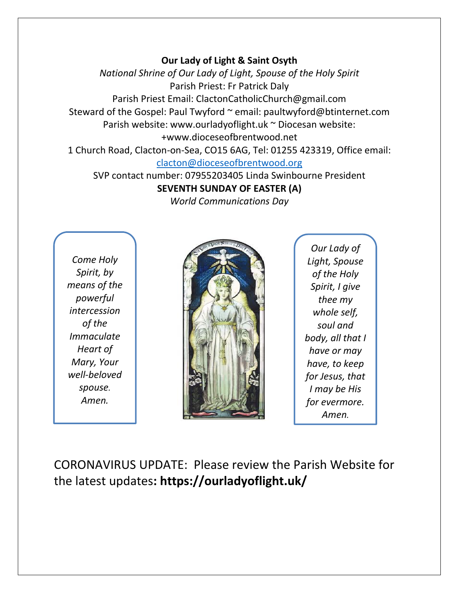#### **Our Lady of Light & Saint Osyth**

*National Shrine of Our Lady of Light, Spouse of the Holy Spirit* Parish Priest: Fr Patrick Daly Parish Priest Email: ClactonCatholicChurch@gmail.com Steward of the Gospel: Paul Twyford ~ email: paultwyford@btinternet.com Parish website: www.ourladyoflight.uk ~ Diocesan website: +www.dioceseofbrentwood.net 1 Church Road, Clacton-on-Sea, CO15 6AG, Tel: 01255 423319, Office email:

[clacton@dioceseofbrentwood.org](mailto:clacton@dioceseofbrentwood.org)

SVP contact number: 07955203405 Linda Swinbourne President **SEVENTH SUNDAY OF EASTER (A)**

*World Communications Day*

*Come Holy Spirit, by means of the powerful intercession of the Immaculate Heart of Mary, Your well-beloved spouse. Amen.*



*Our Lady of Light, Spouse of the Holy Spirit, I give thee my whole self, soul and body, all that I have or may have, to keep for Jesus, that I may be His for evermore. Amen.*

CORONAVIRUS UPDATE: Please review the Parish Website for the latest updates**: https://ourladyoflight.uk/**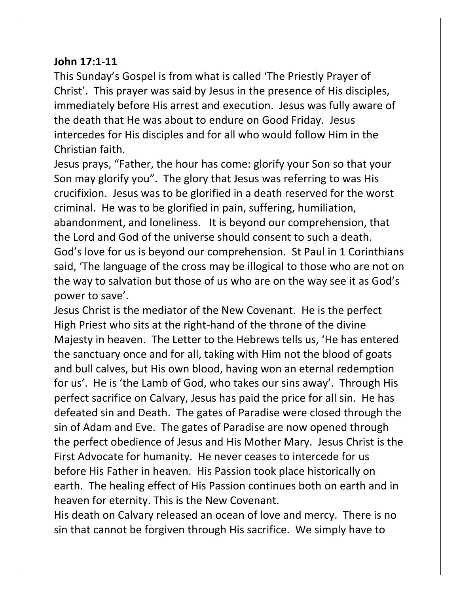## **John 17:1-11**

This Sunday's Gospel is from what is called 'The Priestly Prayer of Christ'. This prayer was said by Jesus in the presence of His disciples, immediately before His arrest and execution. Jesus was fully aware of the death that He was about to endure on Good Friday. Jesus intercedes for His disciples and for all who would follow Him in the Christian faith.

Jesus prays, "Father, the hour has come: glorify your Son so that your Son may glorify you". The glory that Jesus was referring to was His crucifixion. Jesus was to be glorified in a death reserved for the worst criminal. He was to be glorified in pain, suffering, humiliation, abandonment, and loneliness. It is beyond our comprehension, that the Lord and God of the universe should consent to such a death. God's love for us is beyond our comprehension. St Paul in 1 Corinthians said, 'The language of the cross may be illogical to those who are not on the way to salvation but those of us who are on the way see it as God's power to save'.

Jesus Christ is the mediator of the New Covenant. He is the perfect High Priest who sits at the right-hand of the throne of the divine Majesty in heaven. The Letter to the Hebrews tells us, 'He has entered the sanctuary once and for all, taking with Him not the blood of goats and bull calves, but His own blood, having won an eternal redemption for us'. He is 'the Lamb of God, who takes our sins away'. Through His perfect sacrifice on Calvary, Jesus has paid the price for all sin. He has defeated sin and Death. The gates of Paradise were closed through the sin of Adam and Eve. The gates of Paradise are now opened through the perfect obedience of Jesus and His Mother Mary. Jesus Christ is the First Advocate for humanity. He never ceases to intercede for us before His Father in heaven. His Passion took place historically on earth. The healing effect of His Passion continues both on earth and in heaven for eternity. This is the New Covenant.

His death on Calvary released an ocean of love and mercy. There is no sin that cannot be forgiven through His sacrifice. We simply have to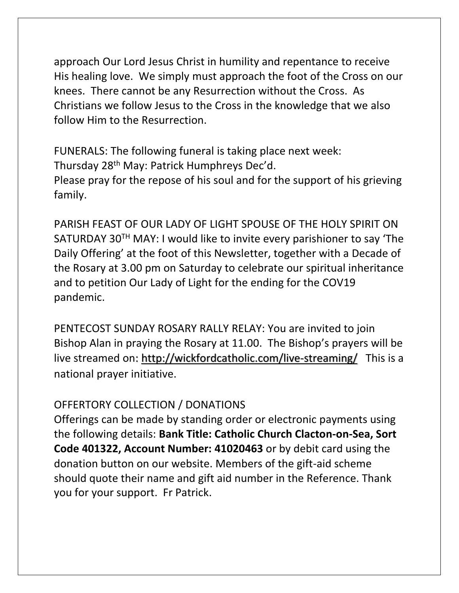approach Our Lord Jesus Christ in humility and repentance to receive His healing love. We simply must approach the foot of the Cross on our knees. There cannot be any Resurrection without the Cross. As Christians we follow Jesus to the Cross in the knowledge that we also follow Him to the Resurrection.

FUNERALS: The following funeral is taking place next week: Thursday 28th May: Patrick Humphreys Dec'd. Please pray for the repose of his soul and for the support of his grieving family.

PARISH FEAST OF OUR LADY OF LIGHT SPOUSE OF THE HOLY SPIRIT ON SATURDAY 30TH MAY: I would like to invite every parishioner to say 'The Daily Offering' at the foot of this Newsletter, together with a Decade of the Rosary at 3.00 pm on Saturday to celebrate our spiritual inheritance and to petition Our Lady of Light for the ending for the COV19 pandemic.

PENTECOST SUNDAY ROSARY RALLY RELAY: You are invited to join Bishop Alan in praying the Rosary at 11.00. The Bishop's prayers will be live streamed on:<http://wickfordcatholic.com/live-streaming/> This is a national prayer initiative.

# OFFERTORY COLLECTION / DONATIONS

Offerings can be made by standing order or electronic payments using the following details: **Bank Title: Catholic Church Clacton-on-Sea, Sort Code 401322, Account Number: 41020463** or by debit card using the donation button on our website. Members of the gift-aid scheme should quote their name and gift aid number in the Reference. Thank you for your support. Fr Patrick.